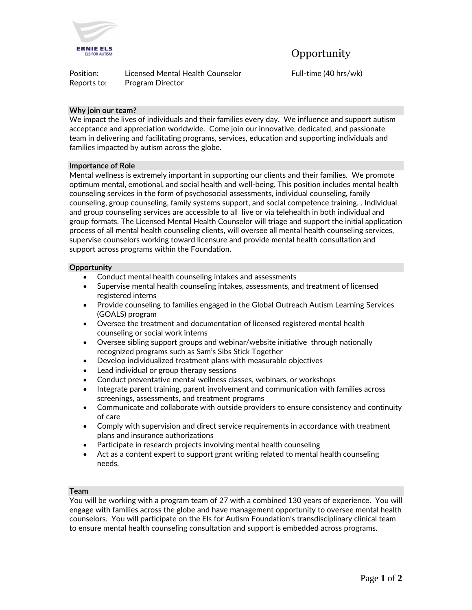

Position: Licensed Mental Health Counselor Full-time (40 hrs/wk) Reports to: Program Director

# **Why join our team?**

We impact the lives of individuals and their families every day. We influence and support autism acceptance and appreciation worldwide. Come join our innovative, dedicated, and passionate team in delivering and facilitating programs, services, education and supporting individuals and families impacted by autism across the globe.

## **Importance of Role**

Mental wellness is extremely important in supporting our clients and their families. We promote optimum mental, emotional, and social health and well-being. This position includes mental health counseling services in the form of psychosocial assessments, individual counseling, family counseling, group counseling, family systems support, and social competence training. . Individual and group counseling services are accessible to all live or via telehealth in both individual and group formats. The Licensed Mental Health Counselor will triage and support the initial application process of all mental health counseling clients, will oversee all mental health counseling services, supervise counselors working toward licensure and provide mental health consultation and support across programs within the Foundation.

## **Opportunity**

- Conduct mental health counseling intakes and assessments
- Supervise mental health counseling intakes, assessments, and treatment of licensed registered interns
- Provide counseling to families engaged in the Global Outreach Autism Learning Services (GOALS) program
- Oversee the treatment and documentation of licensed registered mental health counseling or social work interns
- Oversee sibling support groups and webinar/website initiative through nationally recognized programs such as Sam's Sibs Stick Together
- Develop individualized treatment plans with measurable objectives
- Lead individual or group therapy sessions
- Conduct preventative mental wellness classes, webinars, or workshops
- Integrate parent training, parent involvement and communication with families across screenings, assessments, and treatment programs
- Communicate and collaborate with outside providers to ensure consistency and continuity of care
- Comply with supervision and direct service requirements in accordance with treatment plans and insurance authorizations
- Participate in research projects involving mental health counseling
- Act as a content expert to support grant writing related to mental health counseling needs.

## **Team**

You will be working with a program team of 27 with a combined 130 years of experience. You will engage with families across the globe and have management opportunity to oversee mental health counselors. You will participate on the Els for Autism Foundation's transdisciplinary clinical team to ensure mental health counseling consultation and support is embedded across programs.